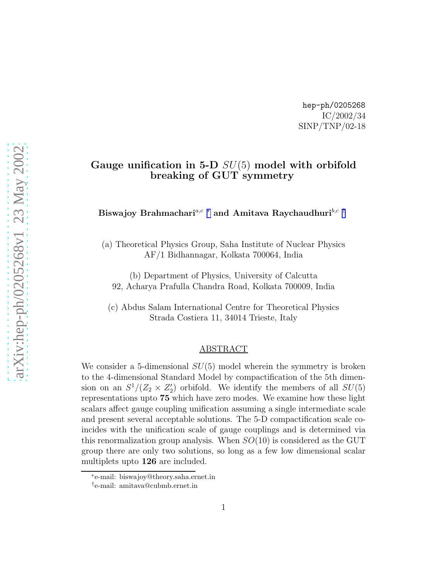hep-ph/0205268 IC/2002/34 SINP/TNP/02-18

### Gauge unification in 5-D  $SU(5)$  model with orbifold breaking of GUT symmetry

Biswajoy Brahmachari<br/>  $a,c \ast$  and Amitava Raychaudhuri $^{b,c \ \dagger}$ 

(a) Theoretical Physics Group, Saha Institute of Nuclear Physics AF/1 Bidhannagar, Kolkata 700064, India

(b) Department of Physics, University of Calcutta 92, Acharya Prafulla Chandra Road, Kolkata 700009, India

(c) Abdus Salam International Centre for Theoretical Physics Strada Costiera 11, 34014 Trieste, Italy

#### ABSTRACT

We consider a 5-dimensional  $SU(5)$  model wherein the symmetry is broken to the 4-dimensional Standard Model by compactification of the 5th dimension on an  $S^1/(Z_2 \times Z_2')$  orbifold. We identify the members of all  $SU(5)$ representations upto 75 which have zero modes. We examine how these light scalars affect gauge coupling unification assuming a single intermediate scale and present several acceptable solutions. The 5-D compactification scale coincides with the unification scale of gauge couplings and is determined via this renormalization group analysis. When  $SO(10)$  is considered as the GUT group there are only two solutions, so long as a few low dimensional scalar multiplets upto 126 are included.

<sup>∗</sup> e-mail: biswajoy@theory.saha.ernet.in

<sup>†</sup> e-mail: amitava@cubmb.ernet.in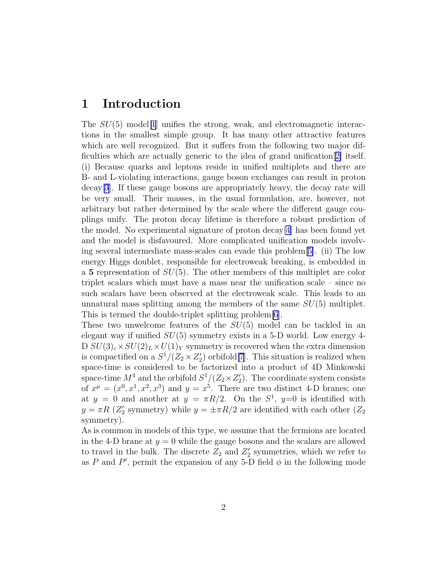# 1 Introduction

The  $SU(5)$  model<sup>[\[1\]](#page-10-0)</sup> unifies the strong, weak, and electromagnetic interactions in the smallest simple group. It has many other attractive features which are well recognized. But it suffers from the following two major difficulties which are actually generic to the idea of grand unification[[2\]](#page-10-0) itself. (i) Because quarks and leptons reside in unified multiplets and there are B- and L-violating interactions, gauge boson exchanges can result in proton decay[\[3](#page-10-0)]. If these gauge bosons are appropriately heavy, the decay rate will be very small. Their masses, in the usual formulation, are, however, not arbitrary but rather determined by the scale where the different gauge couplings unify. The proton decay lifetime is therefore a robust prediction of the model. No experimental signature of proton decay[[4\]](#page-10-0) has been found yet and the model is disfavoured. More complicated unification models involving several intermediate mass-scales can evade this problem[[5\]](#page-10-0). (ii) The low energy Higgs doublet, responsible for electroweak breaking, is embedded in a 5 representation of  $SU(5)$ . The other members of this multiplet are color triplet scalars which must have a mass near the unification scale – since no such scalars have been observed at the electroweak scale. This leads to an unnatural mass splitting among the members of the same  $SU(5)$  multiplet. This is termed the double-triplet splitting problem[\[6](#page-10-0)].

These two unwelcome features of the  $SU(5)$  model can be tackled in an elegant way if unified  $SU(5)$  symmetry exists in a 5-D world. Low energy 4-D  $SU(3)_c \times SU(2)_L \times U(1)_Y$  symmetry is recovered when the extra dimension is compactified on a  $S^1/(Z_2 \times Z_2')$  orbifold [\[7](#page-10-0)]. This situation is realized when space-time is considered to be factorized into a product of 4D Minkowski space-time  $M^4$  and the orbifold  $S^1/(Z_2 \times Z_2')$ . The coordinate system consists of  $x^{\mu} = (x^0, x^1, x^2, x^3)$  and  $y = x^5$ . There are two distinct 4-D branes; one at  $y = 0$  and another at  $y = \pi R/2$ . On the  $S^1$ ,  $y=0$  is identified with  $y = \pi R$  ( $Z'_2$  symmetry) while  $y = \pm \pi R/2$  are identified with each other ( $Z_2$ ) symmetry).

As is common in models of this type, we assume that the fermions are located in the 4-D brane at  $y = 0$  while the gauge bosons and the scalars are allowed to travel in the bulk. The discrete  $Z_2$  and  $Z'_2$  symmetries, which we refer to as P and P', permit the expansion of any 5-D field  $\phi$  in the following mode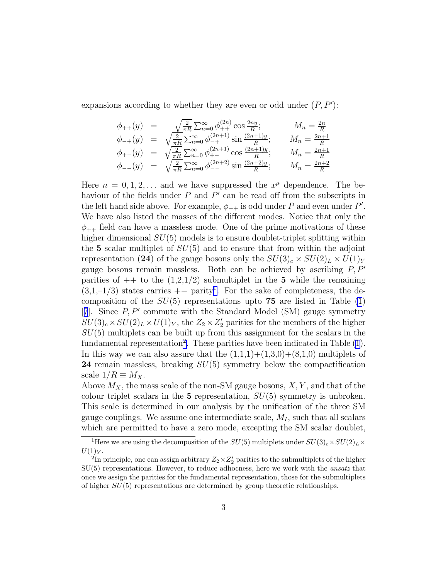expansions according to whether they are even or odd under  $(P, P')$ :

$$
\begin{array}{rcl}\n\phi_{++}(y) & = & \sqrt{\frac{2}{\pi R}} \sum_{n=0}^{\infty} \phi_{++}^{(2n)} \cos \frac{2ny}{R}; & M_n = \frac{2n}{R} \\
\phi_{-+}(y) & = & \sqrt{\frac{2}{\pi R}} \sum_{n=0}^{\infty} \phi_{-+}^{(2n+1)} \sin \frac{(2n+1)y}{R}; & M_n = \frac{2n+1}{R} \\
\phi_{+-}(y) & = & \sqrt{\frac{2}{\pi R}} \sum_{n=0}^{\infty} \phi_{+-}^{(2n+1)} \cos \frac{(2n+1)y}{R}; & M_n = \frac{2n+1}{R} \\
\phi_{--}(y) & = & \sqrt{\frac{2}{\pi R}} \sum_{n=0}^{\infty} \phi_{--}^{(2n+2)} \sin \frac{(2n+2)y}{R}; & M_n = \frac{2n+2}{R}\n\end{array}
$$

Here  $n = 0, 1, 2, \ldots$  and we have suppressed the  $x^{\mu}$  dependence. The behaviour of the fields under  $P$  and  $P'$  can be read off from the subscripts in the left hand side above. For example,  $\phi_{-+}$  is odd under P and even under P'. We have also listed the masses of the different modes. Notice that only the  $\phi_{++}$  field can have a massless mode. One of the prime motivations of these higher dimensional  $SU(5)$  models is to ensure doublet-triplet splitting within the 5 scalar multiplet of  $SU(5)$  and to ensure that from within the adjoint representation (24) of the gauge bosons only the  $SU(3)_c \times SU(2)_L \times U(1)_Y$ gauge bosons remain massless. Both can be achieved by ascribing  $P, P'$ parities of  $++$  to the  $(1,2,1/2)$  submultiplet in the 5 while the remaining  $(3,1,-1/3)$  states carries + parity<sup>1</sup>. For the sake of completeness, the decomposition of the  $SU(5)$  representations upto 75 are listed in Table [\(1](#page-3-0)) [[7](#page-10-0)]. Since P, P′ commute with the Standard Model (SM) gauge symmetry  $SU(3)_c \times SU(2)_L \times U(1)_Y$ , the  $Z_2 \times Z'_2$  parities for the members of the higher  $SU(5)$  multiplets can be built up from this assignment for the scalars in the fundamental representation<sup>2</sup>. These parities have been indicated in Table  $(1)$ . In this way we can also assure that the  $(1,1,1)+(1,3,0)+(8,1,0)$  multiplets of 24 remain massless, breaking  $SU(5)$  symmetry below the compactification scale  $1/R \equiv M_X$ .

Above  $M_X$ , the mass scale of the non-SM gauge bosons,  $X, Y$ , and that of the colour triplet scalars in the 5 representation,  $SU(5)$  symmetry is unbroken. This scale is determined in our analysis by the unification of the three SM gauge couplings. We assume one intermediate scale,  $M_I$ , such that all scalars which are permitted to have a zero mode, excepting the SM scalar doublet,

<sup>&</sup>lt;sup>1</sup>Here we are using the decomposition of the  $SU(5)$  multiplets under  $SU(3)_c \times SU(2)_L \times$  $U(1)_Y$ .

<sup>&</sup>lt;sup>2</sup>In principle, one can assign arbitrary  $Z_2 \times Z_2'$  parities to the submultiplets of the higher  $SU(5)$  representations. However, to reduce adhocness, here we work with the *ansatz* that once we assign the parities for the fundamental representation, those for the submultiplets of higher  $SU(5)$  representations are determined by group theoretic relationships.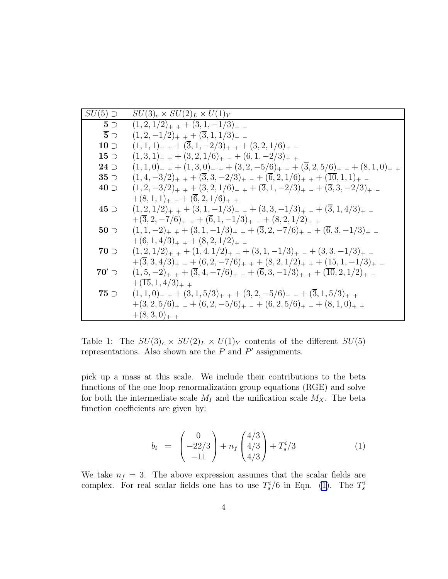<span id="page-3-0"></span>

| $SU(5)$ $\supset$ | $SU(3)_c \times SU(2)_L \times U(1)_Y$                                                                      |
|-------------------|-------------------------------------------------------------------------------------------------------------|
| $5\supset$        | $(1,2,1/2)_{+}$ + $(3,1,-1/3)_{+}$ -                                                                        |
| $\overline{5}$ )  | $(1,2,-1/2)_{+}$ + $(\overline{3},1,1/3)_{+}$ -                                                             |
| $10 \supset$      | $(1,1,1)_+$ + $(\overline{3},1,-2/3)_+$ + $(3,2,1/6)_+$ -                                                   |
| $15\supset$       | $(1,3,1)_{+}$ + $(3,2,1/6)_{+}$ - $+(6,1,-2/3)_{+}$ +                                                       |
| $24$ $\supset$    | $(1,1,0)_{+}$ + $(1,3,0)_{+}$ + $(3,2,-5/6)_{+}$ - $(3,2,5/6)_{+}$ - $(8,1,0)_{+}$ +                        |
| $35$ $\supset$    | $(1,4,-3/2)_{+}$ + $(\overline{3},3,-2/3)_{+}$ - $+(\overline{6},2,1/6)_{+}$ + $(\overline{10},1,1)_{+}$ -  |
| $40$ $\supset$    | $(1,2,-3/2)_{+}$ + $(3,2,1/6)_{+}$ + $(\overline{3},1,-2/3)_{+}$ - $+(\overline{3},3,-2/3)_{+}$ -           |
|                   | $+(8,1,1)_+$ $-$ + $(6,2,1/6)_+$ +                                                                          |
| $45$ $\supset$    | $(1,2,1/2)_{+}$ + $(3,1,-1/3)_{+}$ - $+(3,3,-1/3)_{+}$ - $+(3,1,4/3)_{+}$ -                                 |
|                   | $+(\overline{3},2,-7/6)_{+}$ + $+(\overline{6},1,-1/3)_{+}$ - $+(8,2,1/2)_{+}$ +                            |
| $50 \supset$      | $(1,1,-2)_{+}$ + $(3,1,-1/3)_{+}$ + $(\overline{3},2,-7/6)_{+}$ - $+(\overline{6},3,-1/3)_{+}$ -            |
|                   | $+(6,1,4/3)_{+}$ + $+(8,2,1/2)_{+}$ -                                                                       |
| $70$ $\supset$    | $(1,2,1/2)_{+}$ + $(1,4,1/2)_{+}$ + $(3,1,-1/3)_{+}$ - $(3,3,-1/3)_{+}$ -                                   |
|                   | $+(3,3,4/3)_{+}$ $- + (6,2,-7/6)_{+}$ $+ (8,2,1/2)_{+}$ $+ (15,1,-1/3)_{+}$ $-$                             |
| $70'$ $\supset$   | $(1,5,-2)_{+}$ + $(\overline{3},4,-7/6)_{+}$ - $+(\overline{6},3,-1/3)_{+}$ + $(\overline{10},2,1/2)_{+}$ - |
|                   | $+(15,1,4/3)_{+}$                                                                                           |
| $75$ $\supset$    | $(1,1,0)_{+}$ + $(3,1,5/3)_{+}$ + $(3,2,-5/6)_{+}$ - $(3,1,5/3)_{+}$ +                                      |
|                   | $+(\overline{3},2,5/6)_{+}$ $- + (\overline{6},2,-5/6)_{+}$ $- + (6,2,5/6)_{+}$ $- + (8,1,0)_{+}$           |
|                   | $+(8,3,0)_{+}$ +                                                                                            |

Table 1: The  $SU(3)_c \times SU(2)_L \times U(1)_Y$  contents of the different  $SU(5)$ representations. Also shown are the  $P$  and  $P'$  assignments.

pick up a mass at this scale. We include their contributions to the beta functions of the one loop renormalization group equations (RGE) and solve for both the intermediate scale  $M_I$  and the unification scale  $M_X$ . The beta function coefficients are given by:

$$
b_i = \begin{pmatrix} 0 \\ -22/3 \\ -11 \end{pmatrix} + n_f \begin{pmatrix} 4/3 \\ 4/3 \\ 4/3 \end{pmatrix} + T_s^i/3 \tag{1}
$$

We take  $n_f = 3$ . The above expression assumes that the scalar fields are complex. For real scalar fields one has to use  $T_s^i/6$  in Eqn. (1). The  $T_s^i$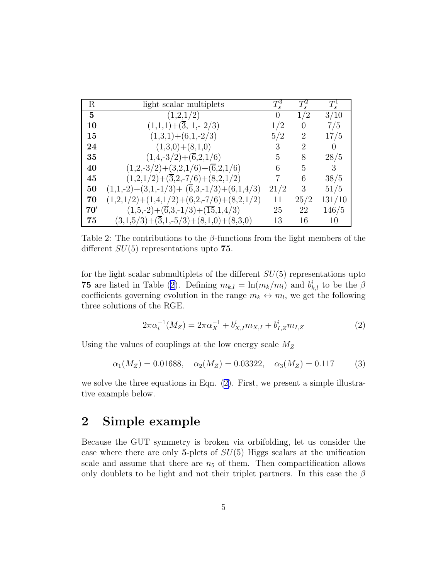<span id="page-4-0"></span>

| $\mathbf R$ | light scalar multiplets                                       | $T^3$    | $T_s^2$        | $T^1$    |
|-------------|---------------------------------------------------------------|----------|----------------|----------|
| 5           | (1,2,1/2)                                                     | $\Omega$ | 1/2            | 3/10     |
| 10          | $(1,1,1)+(\overline{3}, 1, 2/3)$                              | 1/2      | $\theta$       | 7/5      |
| 15          | $(1,3,1)+(6,1,-2/3)$                                          | 5/2      | 2              | 17/5     |
| 24          | $(1,3,0)+(8,1,0)$                                             | 3        | $\overline{2}$ | $\Omega$ |
| 35          | $(1,4,-3/2)+(\overline{6},2,1/6)$                             | 5        | 8              | 28/5     |
| 40          | $(1,2,-3/2)+(3,2,1/6)+(\overline{6},2,1/6)$                   | 6        | 5              | 3        |
| 45          | $(1,2,1/2)$ + $(\overline{3},2,-7/6)$ + $(8,2,1/2)$           | 7        | 6              | 38/5     |
| 50          | $(1,1,-2)+(3,1,-1/3)+(\overline{6},3,-1/3)+(6,1,4/3)$         | 21/2     | 3              | 51/5     |
| 70          | $(1,2,1/2)+(1,4,1/2)+(6,2,-7/6)+(8,2,1/2)$                    | 11       | 25/2           | 131/10   |
| 70'         | $(1,5,-2)+(\overline{6},3,-1/3)+(\overline{15},1,4/3)$        | 25       | 22             | 146/5    |
| 75          | $(3,1,5/3)$ + $(\overline{3},1,-5/3)$ + $(8,1,0)$ + $(8,3,0)$ | 13       | 16             | 10       |

Table 2: The contributions to the  $\beta$ -functions from the light members of the different  $SU(5)$  representations upto 75.

for the light scalar submultiplets of the different  $SU(5)$  representations upto **75** are listed in Table (2). Defining  $m_{k,l} = \ln(m_k/m_l)$  and  $b_{k,l}^i$  to be the  $\beta$ coefficients governing evolution in the range  $m_k \leftrightarrow m_l$ , we get the following three solutions of the RGE.

$$
2\pi\alpha_i^{-1}(M_Z) = 2\pi\alpha_X^{-1} + b_{X,I}^i m_{X,I} + b_{I,Z}^i m_{I,Z}
$$
 (2)

Using the values of couplings at the low energy scale  $M_Z$ 

$$
\alpha_1(M_Z) = 0.01688, \quad \alpha_2(M_Z) = 0.03322, \quad \alpha_3(M_Z) = 0.117 \tag{3}
$$

we solve the three equations in Eqn. (2). First, we present a simple illustrative example below.

# 2 Simple example

Because the GUT symmetry is broken via orbifolding, let us consider the case where there are only 5-plets of  $SU(5)$  Higgs scalars at the unification scale and assume that there are  $n<sub>5</sub>$  of them. Then compactification allows only doublets to be light and not their triplet partners. In this case the  $\beta$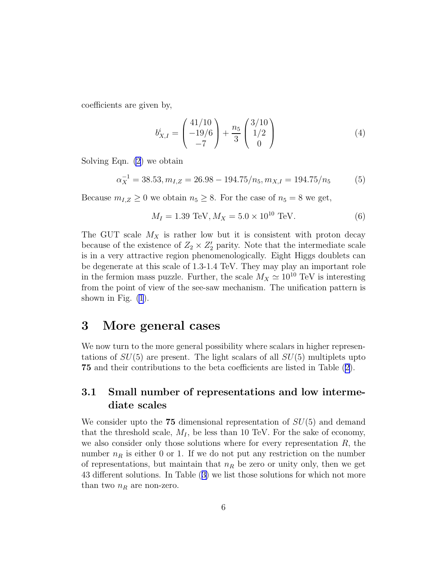coefficients are given by,

$$
b_{X,I}^i = \begin{pmatrix} 41/10 \\ -19/6 \\ -7 \end{pmatrix} + \frac{n_5}{3} \begin{pmatrix} 3/10 \\ 1/2 \\ 0 \end{pmatrix}
$$
 (4)

Solving Eqn. [\(2](#page-4-0)) we obtain

$$
\alpha_X^{-1} = 38.53, m_{I,Z} = 26.98 - 194.75/n_5, m_{X,I} = 194.75/n_5 \tag{5}
$$

Because  $m_{I,Z} \geq 0$  we obtain  $n_5 \geq 8$ . For the case of  $n_5 = 8$  we get,

$$
M_I = 1.39 \text{ TeV}, M_X = 5.0 \times 10^{10} \text{ TeV}.
$$
 (6)

The GUT scale  $M_X$  is rather low but it is consistent with proton decay because of the existence of  $Z_2 \times Z'_2$  parity. Note that the intermediate scale is in a very attractive region phenomenologically. Eight Higgs doublets can be degenerate at this scale of 1.3-1.4 TeV. They may play an important role in the fermion mass puzzle. Further, the scale  $M_X \simeq 10^{10} \text{ TeV}$  is interesting from the point of view of the see-saw mechanism. The unification pattern is shown in Fig.  $(1)$ .

# 3 More general cases

We now turn to the more general possibility where scalars in higher representations of  $SU(5)$  are present. The light scalars of all  $SU(5)$  multiplets upto 75 and their contributions to the beta coefficients are listed in Table([2\)](#page-4-0).

### 3.1 Small number of representations and low intermediate scales

We consider upto the  $75$  dimensional representation of  $SU(5)$  and demand that the threshold scale,  $M_I$ , be less than 10 TeV. For the sake of economy, we also consider only those solutions where for every representation  $R$ , the number  $n_R$  is either 0 or 1. If we do not put any restriction on the number of representations, but maintain that  $n_R$  be zero or unity only, then we get 43 different solutions. In Table([3\)](#page-6-0) we list those solutions for which not more than two  $n_R$  are non-zero.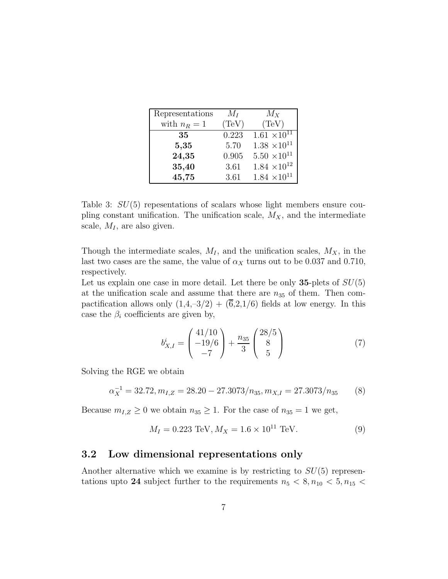<span id="page-6-0"></span>

| Representations | $M_I$ | $M_X$                   |
|-----------------|-------|-------------------------|
| with $n_R = 1$  | (TeV) | (TeV)                   |
| 35              | 0.223 | $1.61 \times 10^{11}$   |
| 5,35            | 5.70  | $1.38\ \times\!10^{11}$ |
| 24,35           | 0.905 | $5.50 \times 10^{11}$   |
| 35,40           | 3.61  | $1.84 \times 10^{12}$   |
| 45,75           | 3.61  | $1.84 \times 10^{11}$   |

Table 3:  $SU(5)$  repesentations of scalars whose light members ensure coupling constant unification. The unification scale,  $M_X$ , and the intermediate scale,  $M_I$ , are also given.

Though the intermediate scales,  $M_I$ , and the unification scales,  $M_X$ , in the last two cases are the same, the value of  $\alpha_X$  turns out to be 0.037 and 0.710, respectively.

Let us explain one case in more detail. Let there be only  $35$ -plets of  $SU(5)$ at the unification scale and assume that there are  $n_{35}$  of them. Then compactification allows only  $(1,4,-3/2) + (\overline{6},2,1/6)$  fields at low energy. In this case the  $\beta_i$  coefficients are given by,

$$
b_{X,I}^i = \begin{pmatrix} 41/10 \\ -19/6 \\ -7 \end{pmatrix} + \frac{n_{35}}{3} \begin{pmatrix} 28/5 \\ 8 \\ 5 \end{pmatrix}
$$
 (7)

Solving the RGE we obtain

$$
\alpha_X^{-1} = 32.72, m_{I,Z} = 28.20 - 27.3073/n_{35}, m_{X,I} = 27.3073/n_{35}
$$
 (8)

Because  $m_{I,Z} \geq 0$  we obtain  $n_{35} \geq 1$ . For the case of  $n_{35} = 1$  we get,

$$
M_I = 0.223 \text{ TeV}, M_X = 1.6 \times 10^{11} \text{ TeV}.
$$
 (9)

#### 3.2 Low dimensional representations only

Another alternative which we examine is by restricting to  $SU(5)$  representations upto 24 subject further to the requirements  $n_5 < 8, n_{10} < 5, n_{15} <$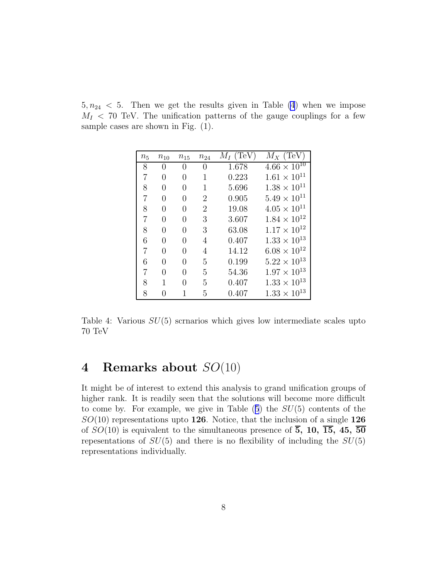$5, n_{24} < 5$ . Then we get the results given in Table (4) when we impose  $M<sub>I</sub> < 70$  TeV. The unification patterns of the gauge couplings for a few sample cases are shown in Fig. (1).

| $n_5$          | $n_{10}$ | $n_{15}$ | $n_{24}$       | $M_I$ (TeV) | $M_X$ (TeV)           |
|----------------|----------|----------|----------------|-------------|-----------------------|
| 8              | 0        | $\theta$ | $\theta$       | 1.678       | $4.66 \times 10^{10}$ |
| $\overline{7}$ | 0        | 0        | 1              | 0.223       | $1.61 \times 10^{11}$ |
| 8              | 0        | 0        | 1              | 5.696       | $1.38 \times 10^{11}$ |
| 7              | $\theta$ | 0        | $\overline{2}$ | 0.905       | $5.49 \times 10^{11}$ |
| 8              | $\theta$ | 0        | $\overline{2}$ | 19.08       | $4.05 \times 10^{11}$ |
| 7              | $\theta$ | 0        | 3              | 3.607       | $1.84 \times 10^{12}$ |
| 8              | $\theta$ | 0        | 3              | 63.08       | $1.17 \times 10^{12}$ |
| 6              | $\Omega$ | 0        | 4              | 0.407       | $1.33 \times 10^{13}$ |
| 7              | 0        | 0        | 4              | 14.12       | $6.08 \times 10^{12}$ |
| 6              | 0        | 0        | 5              | 0.199       | $5.22 \times 10^{13}$ |
| 7              | $\theta$ | 0        | 5              | 54.36       | $1.97 \times 10^{13}$ |
| 8              | 1        | O        | 5              | 0.407       | $1.33 \times 10^{13}$ |
| 8              |          |          | 5              | 0.407       | $1.33 \times 10^{13}$ |

Table 4: Various  $SU(5)$  scrnarios which gives low intermediate scales upto 70 TeV

# 4 Remarks about SO(10)

It might be of interest to extend this analysis to grand unification groups of higher rank. It is readily seen that the solutions will become more difficult tocome by. For example, we give in Table  $(5)$  $(5)$  $(5)$  the  $SU(5)$  contents of the  $SO(10)$  representations upto 126. Notice, that the inclusion of a single 126 of  $SO(10)$  is equivalent to the simultaneous presence of  $\overline{5}$ , 10,  $\overline{15}$ , 45,  $\overline{50}$ repesentations of  $SU(5)$  and there is no flexibility of including the  $SU(5)$ representations individually.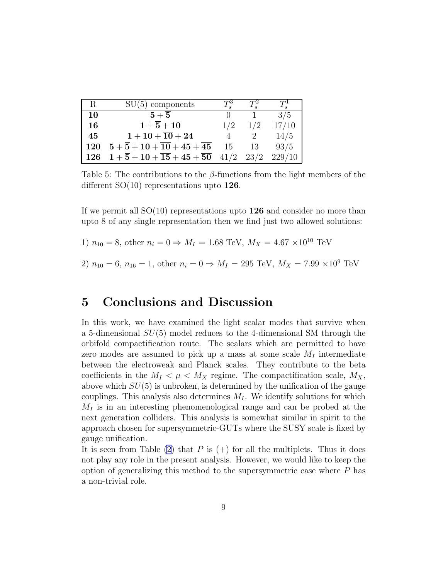<span id="page-8-0"></span>

| R          | $SU(5)$ components                                           | $T^3$ | $T^2$ | $T^1$  |
|------------|--------------------------------------------------------------|-------|-------|--------|
| 10         | ${\bf 5}+{\bf 5}$                                            |       |       | 3/5    |
| 16         | $1+\overline{5}+10$                                          | 1/2   | 1/2   | 17/10  |
| 45         | $1+10+\overline{10}+24$                                      |       |       | 14/5   |
| <b>120</b> | $5+\overline{5}+10+\overline{10}+45+\overline{45}$           | 15    | 13    | 93/5   |
| 126        | $1 + \overline{5} + 10 + \overline{15} + 45 + \overline{50}$ | 41/2  | 23/2  | 229/10 |

Table 5: The contributions to the  $\beta$ -functions from the light members of the different  $SO(10)$  representations upto 126.

If we permit all  $SO(10)$  representations upto  $126$  and consider no more than upto 8 of any single representation then we find just two allowed solutions:

1)  $n_{10} = 8$ , other  $n_i = 0 \Rightarrow M_I = 1.68 \text{ TeV}, M_X = 4.67 \times 10^{10} \text{ TeV}$ 

2)  $n_{10} = 6$ ,  $n_{16} = 1$ , other  $n_i = 0 \Rightarrow M_I = 295 \text{ TeV}$ ,  $M_X = 7.99 \times 10^9 \text{ TeV}$ 

## 5 Conclusions and Discussion

In this work, we have examined the light scalar modes that survive when a 5-dimensional  $SU(5)$  model reduces to the 4-dimensional SM through the orbifold compactification route. The scalars which are permitted to have zero modes are assumed to pick up a mass at some scale  $M_I$  intermediate between the electroweak and Planck scales. They contribute to the beta coefficients in the  $M_I < \mu < M_X$  regime. The compactification scale,  $M_X$ , above which  $SU(5)$  is unbroken, is determined by the unification of the gauge couplings. This analysis also determines  $M_I$ . We identify solutions for which  $M<sub>I</sub>$  is in an interesting phenomenological range and can be probed at the next generation colliders. This analysis is somewhat similar in spirit to the approach chosen for supersymmetric-GUTs where the SUSY scale is fixed by gauge unification.

It is seen from Table [\(2](#page-4-0)) that P is  $(+)$  for all the multiplets. Thus it does not play any role in the present analysis. However, we would like to keep the option of generalizing this method to the supersymmetric case where  $P$  has a non-trivial role.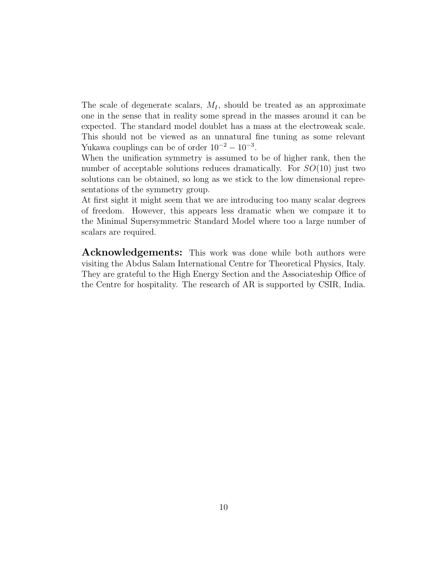The scale of degenerate scalars,  $M_I$ , should be treated as an approximate one in the sense that in reality some spread in the masses around it can be expected. The standard model doublet has a mass at the electroweak scale. This should not be viewed as an unnatural fine tuning as some relevant Yukawa couplings can be of order  $10^{-2} - 10^{-3}$ .

When the unification symmetry is assumed to be of higher rank, then the number of acceptable solutions reduces dramatically. For  $SO(10)$  just two solutions can be obtained, so long as we stick to the low dimensional representations of the symmetry group.

At first sight it might seem that we are introducing too many scalar degrees of freedom. However, this appears less dramatic when we compare it to the Minimal Supersymmetric Standard Model where too a large number of scalars are required.

Acknowledgements: This work was done while both authors were visiting the Abdus Salam International Centre for Theoretical Physics, Italy. They are grateful to the High Energy Section and the Associateship Office of the Centre for hospitality. The research of AR is supported by CSIR, India.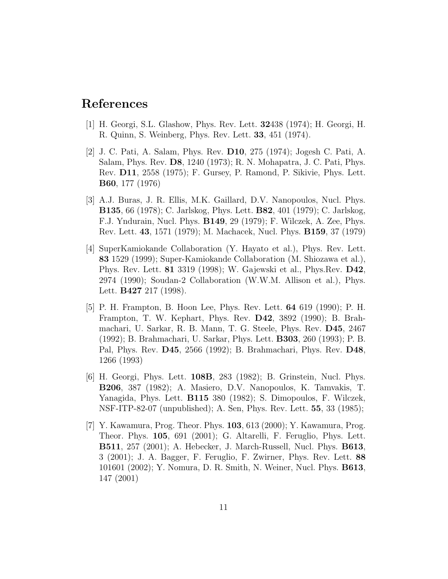# <span id="page-10-0"></span>References

- [1] H. Georgi, S.L. Glashow, Phys. Rev. Lett. 32438 (1974); H. Georgi, H. R. Quinn, S. Weinberg, Phys. Rev. Lett. 33, 451 (1974).
- [2] J. C. Pati, A. Salam, Phys. Rev. D10, 275 (1974); Jogesh C. Pati, A. Salam, Phys. Rev. D8, 1240 (1973); R. N. Mohapatra, J. C. Pati, Phys. Rev. D11, 2558 (1975); F. Gursey, P. Ramond, P. Sikivie, Phys. Lett. B60, 177 (1976)
- [3] A.J. Buras, J. R. Ellis, M.K. Gaillard, D.V. Nanopoulos, Nucl. Phys. B135, 66 (1978); C. Jarlskog, Phys. Lett. B82, 401 (1979); C. Jarlskog, F.J. Yndurain, Nucl. Phys. B149, 29 (1979); F. Wilczek, A. Zee, Phys. Rev. Lett. 43, 1571 (1979); M. Machacek, Nucl. Phys. B159, 37 (1979)
- [4] SuperKamiokande Collaboration (Y. Hayato et al.), Phys. Rev. Lett. 83 1529 (1999); Super-Kamiokande Collaboration (M. Shiozawa et al.), Phys. Rev. Lett. 81 3319 (1998); W. Gajewski et al., Phys.Rev. D42, 2974 (1990); Soudan-2 Collaboration (W.W.M. Allison et al.), Phys. Lett. B427 217 (1998).
- [5] P. H. Frampton, B. Hoon Lee, Phys. Rev. Lett. 64 619 (1990); P. H. Frampton, T. W. Kephart, Phys. Rev. D42, 3892 (1990); B. Brahmachari, U. Sarkar, R. B. Mann, T. G. Steele, Phys. Rev. D45, 2467 (1992); B. Brahmachari, U. Sarkar, Phys. Lett. B303, 260 (1993); P. B. Pal, Phys. Rev. D45, 2566 (1992); B. Brahmachari, Phys. Rev. D48, 1266 (1993)
- [6] H. Georgi, Phys. Lett. 108B, 283 (1982); B. Grinstein, Nucl. Phys. B206, 387 (1982); A. Masiero, D.V. Nanopoulos, K. Tamvakis, T. Yanagida, Phys. Lett. B115 380 (1982); S. Dimopoulos, F. Wilczek, NSF-ITP-82-07 (unpublished); A. Sen, Phys. Rev. Lett. 55, 33 (1985);
- [7] Y. Kawamura, Prog. Theor. Phys. 103, 613 (2000); Y. Kawamura, Prog. Theor. Phys. 105, 691 (2001); G. Altarelli, F. Feruglio, Phys. Lett. B511, 257 (2001); A. Hebecker, J. March-Russell, Nucl. Phys. B613, 3 (2001); J. A. Bagger, F. Feruglio, F. Zwirner, Phys. Rev. Lett. 88 101601 (2002); Y. Nomura, D. R. Smith, N. Weiner, Nucl. Phys. B613, 147 (2001)